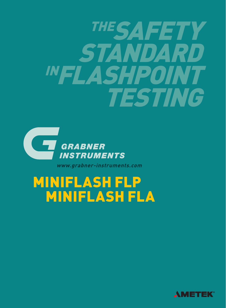



www.grabner-instruments.com

# MINIFLASH FLP MINIFLASH FLA

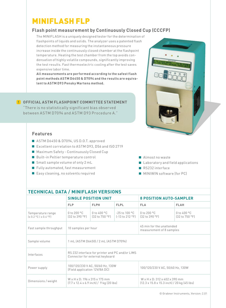# MINIFLASH FLP

### **Flash point measurement by Continuously Closed Cup (CCCFP)**

The MINIFLASH is a uniquely designed tester for the determination of flashpoints of liquids and solids. The analyzer uses a patented flash detection method for measuring the instantaneous pressure increase inside the continuously closed chamber at the flashpoint temperature. Heating the test chamber from the top avoids condensation of highly volatile compounds, significantly improving the test results. Fast thermoelectric cooling after the test saves expensive labor time.

**All measurements are performed according to the safest flash point methods ASTM D6450 & D7094 and the results are equivalent to ASTM D93 Pensky Martens method.**

### **OFFICIAL ASTM FLASHPOINT COMMITTEE STATEMENT !**

"There is no statistically significant bias observed between ASTM D7094 and ASTM D93 Procedure A."

### **Features**

- ASTM D6450 & D7094, US D.O.T. approved
- Excellent correlation to ASTM D93, D56 and ISO 2719
- Maximum Safety Continuously Closed Cup
- Built-in Peltier temperature control
- Small sample volume of only 2 mL
- Fully automated, fast measurement
- Easy cleaning, no solvents required



- Almost no waste
- **Laboratory and field applications**
- RS232 interface
- **MINIWIN** software (for PC)

| <b>TECHNICAL DATA / MINIFLASH VERSIONS</b>                                                           |                                   |                                                       |                                                                                                         |                                         |
|------------------------------------------------------------------------------------------------------|-----------------------------------|-------------------------------------------------------|---------------------------------------------------------------------------------------------------------|-----------------------------------------|
| <b>SINGLE POSITION UNIT</b>                                                                          |                                   |                                                       | <b>8 POSITION AUTO-SAMPLER</b>                                                                          |                                         |
| <b>FLP</b>                                                                                           | <b>FLPH</b>                       | <b>FLPL</b>                                           | <b>FLA</b>                                                                                              | <b>FLAH</b>                             |
| 0 to $200 °C$<br>[32 to 390 °F]                                                                      | $0$ to $400$ °C<br>(32 to 750 °F) | $-25$ to 100 °C<br>$[-13 \text{ to } 212 \text{ °F}]$ | 0 to 200 °C<br>[32 to 390 °F]                                                                           | 0 to 400 $^{\circ}$ C<br>[32 to 750 °F] |
| 10 samples per hour                                                                                  |                                   |                                                       | 45 min for the unattended<br>measurement of 8 samples                                                   |                                         |
| 1 mL (ASTM D6450) / 2 mL (ASTM D7094)                                                                |                                   |                                                       |                                                                                                         |                                         |
| RS 232 interface for printer and PC and/or LIMS<br>Connector for external keyboard                   |                                   |                                                       |                                                                                                         |                                         |
| 100/120/230 V AC, 50/60 Hz, 130W<br>(Field application 12V/8A DC)                                    |                                   |                                                       | 100/120/230 V AC, 50/60 Hz, 130W                                                                        |                                         |
| W x H x D: 196 x 315 x 175 mm<br>$(7.7 \times 12.4 \times 6.9 \text{ inch}) / 9 \text{ kg}$ (20 lbs) |                                   |                                                       | W x H x D: 312 x 402 x 390 mm<br>$(12.3 \times 15.8 \times 15.3 \text{ inch}) / 20 \text{ kg}$ (45 lbs) |                                         |
|                                                                                                      |                                   |                                                       |                                                                                                         |                                         |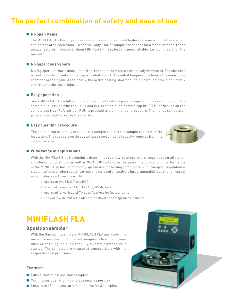## **The perfect combination of safety and ease of use**

#### **No open flame**

The MINIFLASH is the only continuously closed cup flashpoint tester that uses a controlled electric arc instead of an open flame. Best of all, only 2 mL of sample are needed for a measurement. These unique features make the Grabner MINIFLASH the safest and most reliable flashpoint tester on the market.

#### **No hazardous vapors**

During operation hazardous fumes from the heated sample are effectively eliminated. The chamber is continuously closed and the cup is cooled down to the initial temperature before the measuring chamber opens again. Additionally, the active cooling shortens the turnaround time significantly and reduces the risk of injuries.

#### **Easy operation**

Since MINIFLASH is a fully automatic flashpoint tester, a possible operator bias is eliminated. The sample cup is filled with the liquid and is placed onto the sample cup lift (FLP- series) or on the sample cup tray (FLA-series). RUN is pressed to start the test procedure. The menus can be preprogrammed and locked by the operator.

#### **Easy cleaning procedure**

The sample cup assembly consists of a sample cup and the sample cup carrier for insulation. The cup rests on three stainless steel pins and is easily removed from the carrier for cleaning.



#### **Wide range of applications**

With the MINIFLASH the flashpoint is determined over a wide temperature range, to cover all standard closed cup methods as well as GO/NOGO tests. Over the years, the outstanding performance of the MINIFLASH has led to widely spread use for testing compliance with transport regulations/ classifications, product specifications and for used oil analysis (programmable fuel dilution curve) in laboratories all over the world.

- Approved by US D.O.T. and RCRA
- Specified for use by NATO, US NAVY, US Marines
- Approved for various ASTM specifications for fuels and oils
- The world wide market leader for the flavors and fragrances industry

## MINIFLASH FLA

#### **8 position sampler**

With the flashpoint samplers MINIFLASH FLA and FLAH, the manipulation time for 8 different samples is less than 2 minutes. After filling the cups, the fully automatic procedure is started. The samples are measured consecutively with the respective test programs.

#### **Features**

- **Fully automatic 8 position sampler**
- Continuous operation up to 80 samples per day
- Less than 45 minutes turnaround time for 8 samples